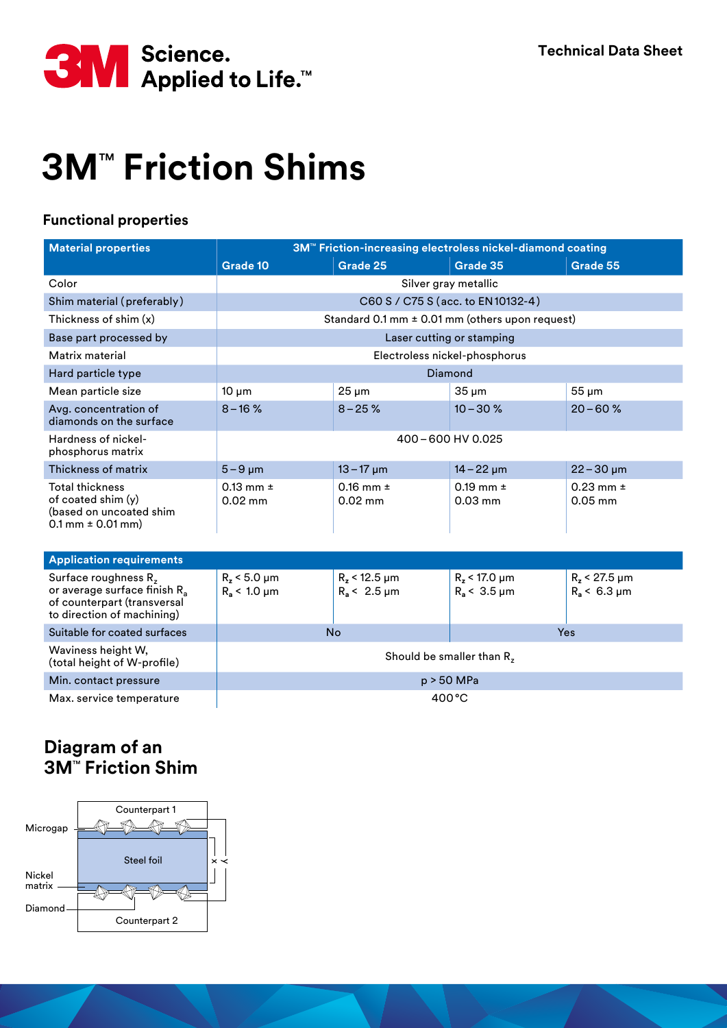

## **3M<sup>™</sup> Friction Shims**

## **Functional properties**

| <b>Material properties</b>                                                                                                      | 3M™ Friction-increasing electroless nickel-diamond coating |                                             |                                             |                                      |
|---------------------------------------------------------------------------------------------------------------------------------|------------------------------------------------------------|---------------------------------------------|---------------------------------------------|--------------------------------------|
|                                                                                                                                 | Grade 10                                                   | Grade 25                                    | Grade 35                                    | Grade 55                             |
| Color                                                                                                                           | Silver gray metallic                                       |                                             |                                             |                                      |
| Shim material (preferably)                                                                                                      | C60 S / C75 S (acc. to EN10132-4)                          |                                             |                                             |                                      |
| Thickness of shim $(x)$                                                                                                         | Standard 0.1 mm $\pm$ 0.01 mm (others upon request)        |                                             |                                             |                                      |
| Base part processed by                                                                                                          | Laser cutting or stamping                                  |                                             |                                             |                                      |
| Matrix material                                                                                                                 | Electroless nickel-phosphorus                              |                                             |                                             |                                      |
| Hard particle type                                                                                                              | Diamond                                                    |                                             |                                             |                                      |
| Mean particle size                                                                                                              | $10 \mu m$                                                 | $25 \mu m$                                  | $35 \mu m$                                  | $55 \mu m$                           |
| Avg. concentration of<br>diamonds on the surface                                                                                | $8 - 16$ %                                                 | $8 - 25 \%$                                 | $10 - 30 \%$                                | $20 - 60$ %                          |
| Hardness of nickel-<br>phosphorus matrix                                                                                        | 400-600 HV 0.025                                           |                                             |                                             |                                      |
| Thickness of matrix                                                                                                             | $5-9 \mu m$                                                | $13 - 17 \mu m$                             | $14 - 22 \mu m$                             | $22 - 30 \mu m$                      |
| <b>Total thickness</b><br>of coated shim $(y)$<br>(based on uncoated shim<br>$0.1$ mm $\pm$ 0.01 mm)                            | $0.13$ mm $\pm$<br>$0.02$ mm                               | $0.16$ mm $\pm$<br>$0.02$ mm                | 0.19 mm $\pm$<br>$0.03$ mm                  | $0.23$ mm $\pm$<br>$0.05$ mm         |
| <b>Application requirements</b>                                                                                                 |                                                            |                                             |                                             |                                      |
| Surface roughness $Rz$<br>or average surface finish R <sub>a</sub><br>of counterpart (transversal<br>to direction of machining) | $R_z < 5.0 \mu m$<br>$R_a$ < 1.0 $\mu$ m                   | $R_z$ < 12.5 $\mu$ m<br>$R_a < 2.5 \,\mu m$ | $R_z$ < 17.0 $\mu$ m<br>$R_a < 3.5 \,\mu m$ | $R_z < 27.5 \mu m$<br>$R_a$ < 6.3 µm |
| Suitable for coated surfaces                                                                                                    | <b>No</b>                                                  |                                             | Yes                                         |                                      |
| Waviness height W,<br>(total height of W-profile)                                                                               | Should be smaller than R <sub>z</sub>                      |                                             |                                             |                                      |
| Min. contact pressure                                                                                                           | p > 50 MPa                                                 |                                             |                                             |                                      |

Max. service temperature  $\vert$  400 °C

## **Diagram of an 3M<sup>™</sup> Friction Shim**